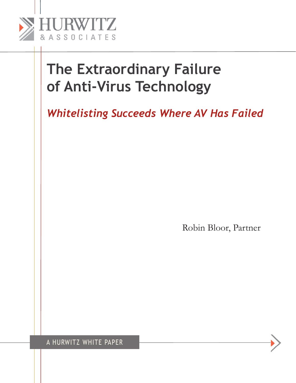

*Whitelisting Succeeds Where AV Has Failed*

Robin Bloor, Partner

A HURWITZ WHITE PAPER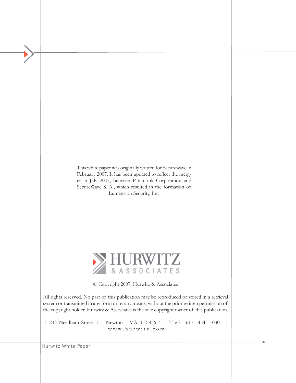This white paper was originally written for Securewave in February 2007. It has been updated to reflect the merger in July 2007, between PatchLink Corporation and SecureWave S. A., which resulted in the formation of Lumension Security, Inc.



© Copyright 2007, Hurwitz & Associates

All rights reserved. No part of this publication may be reproduced or stored in a retrieval system or transmitted in any form or by any means, without the prior written permission of the copyright holder. Hurwitz & Associates is the sole copyright owner of this publication.

■ 233 Needham Street ■ Newton MA 0 2 4 6 4 ■ T e l: 617 454 1030 ■ w w w . h u r w i t z . c o m

Hurwitz White Paper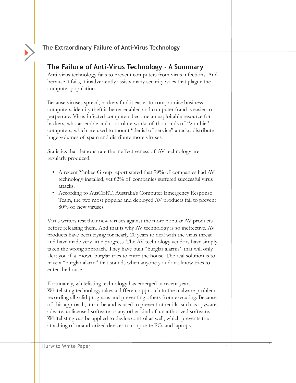# **The Failure of Anti-Virus Technology - A Summary**

Anti-virus technology fails to prevent computers from virus infections. And because it fails, it inadvertently assists many security woes that plague the computer population.

Because viruses spread, hackers find it easier to compromise business computers, identity theft is better enabled and computer fraud is easier to perpetrate. Virus-infected computers become an exploitable resource for hackers, who assemble and control networks of thousands of "zombie" computers, which are used to mount "denial of service" attacks, distribute huge volumes of spam and distribute more viruses.

Statistics that demonstrate the ineffectiveness of AV technology are regularly produced:

- A recent Yankee Group report stated that 99% of companies had AV technology installed, yet 62% of companies suffered successful virus attacks.
- According to AusCERT, Australia's Computer Emergency Response Team, the two most popular and deployed AV products fail to prevent 80% of new viruses.

Virus writers test their new viruses against the more popular AV products before releasing them. And that is why AV technology is so ineffective. AV products have been trying for nearly 20 years to deal with the virus threat and have made very little progress. The AV technology vendors have simply taken the wrong approach. They have built "burglar alarms" that will only alert you if a known burglar tries to enter the house. The real solution is to have a "burglar alarm" that sounds when anyone you don't know tries to enter the house.

Fortunately, whitelisting technology has emerged in recent years. Whitelisting technology takes a different approach to the malware problem, recording all valid programs and preventing others from executing. Because of this approach, it can be and is used to prevent other ills, such as spyware, adware, unlicensed software or any other kind of unauthorized software. Whitelisting can be applied to device control as well, which prevents the attaching of unauthorized devices to corporate PCs and laptops.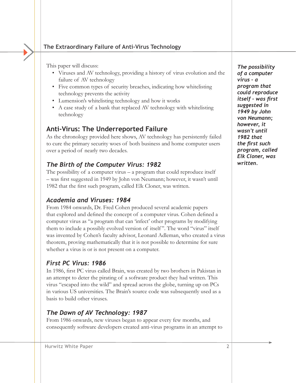This paper will discuss:

- Viruses and AV technology, providing a history of virus evolution and the failure of AV technology
- Five common types of security breaches, indicating how whitelisting technology prevents the activity
- Lumension's whitelisting technology and how it works
- A case study of a bank that replaced AV technology with whitelisting technology

## **Anti-Virus: The Underreported Failure**

As the chronology provided here shows, AV technology has persistently failed to cure the primary security woes of both business and home computer users over a period of nearly two decades.

## *The Birth of the Computer Virus: 1982*

The possibility of a computer virus – a program that could reproduce itself – was first suggested in 1949 by John von Neumann; however, it wasn't until 1982 that the first such program, called Elk Cloner, was written.

## *Academia and Viruses: 1984*

From 1984 onwards, Dr. Fred Cohen produced several academic papers that explored and defined the concept of a computer virus. Cohen defined a computer virus as "a program that can 'infect' other programs by modifying them to include a possibly evolved version of itself ". The word "virus" itself was invented by Cohen's faculty advisor, Leonard Adleman, who created a virus theorem, proving mathematically that it is not possible to determine for sure whether a virus is or is not present on a computer.

#### *First PC Virus: 1986*

In 1986, first PC virus called Brain, was created by two brothers in Pakistan in an attempt to deter the pirating of a software product they had written. This virus "escaped into the wild" and spread across the globe, turning up on PCs in various US universities. The Brain's source code was subsequently used as a basis to build other viruses.

## *The Dawn of AV Technology: 1987*

From 1986 onwards, new viruses began to appear every few months, and consequently software developers created anti-virus programs in an attempt to

*The possibility of a computer virus – a program that could reproduce itself – was first suggested in 1949 by John von Neumann; however, it wasn't until 1982 that the first such program, called Elk Cloner, was written.*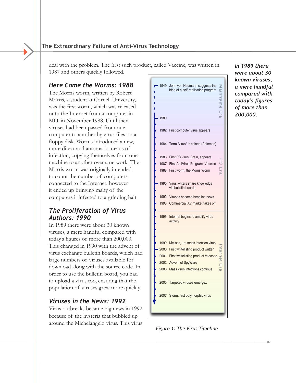deal with the problem. The first such product, called Vaccine, was written in 1987 and others quickly followed.

#### *Here Come the Worms: 1988*

The Morris worm, written by Robert Morris, a student at Cornell University, was the first worm, which was released onto the Internet from a computer in MIT in November 1988. Until then viruses had been passed from one computer to another by virus files on a floppy disk. Worms introduced a new, more direct and automatic means of infection, copying themselves from one machine to another over a network. The Morris worm was originally intended to count the number of computers connected to the Internet, however it ended up bringing many of the computers it infected to a grinding halt.

#### *The Proliferation of Virus Authors: 1990*

In 1989 there were about 30 known viruses, a mere handful compared with today's figures of more than 200,000. This changed in 1990 with the advent of virus exchange bulletin boards, which had large numbers of viruses available for download along with the source code. In order to use the bulletin board, you had to upload a virus too, ensuring that the population of viruses grew more quickly.

## *Viruses in the News: 1992*

Virus outbreaks became big news in 1992 because of the hysteria that bubbled up around the Michelangelo virus. This virus



*Figure 1: The Virus Timeline*

*In 1989 there were about 30 known viruses, a mere handful compared with today's figures of more than 200,000.*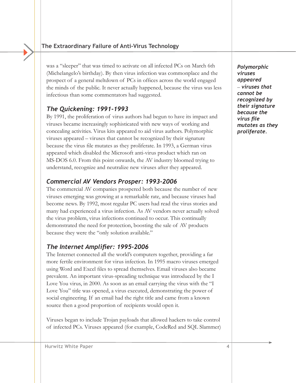was a "sleeper" that was timed to activate on all infected PCs on March 6th (Michelangelo's birthday). By then virus infection was commonplace and the prospect of a general meltdown of PCs in offices across the world engaged the minds of the public. It never actually happened, because the virus was less infectious than some commentators had suggested.

## *The Quickening: 1991-1993*

By 1991, the proliferation of virus authors had begun to have its impact and viruses became increasingly sophisticated with new ways of working and concealing activities. Virus kits appeared to aid virus authors. Polymorphic viruses appeared – viruses that cannot be recognized by their signature because the virus file mutates as they proliferate. In 1993, a German virus appeared which disabled the Microsoft anti-virus product which ran on MS-DOS 6.0. From this point onwards, the AV industry bloomed trying to understand, recognize and neutralize new viruses after they appeared.

## *Commercial AV Vendors Prosper: 1993-2006*

The commercial AV companies prospered both because the number of new viruses emerging was growing at a remarkable rate, and because viruses had become news. By 1992, most regular PC users had read the virus stories and many had experienced a virus infection. As AV vendors never actually solved the virus problem, virus infections continued to occur. This continually demonstrated the need for protection, boosting the sale of AV products because they were the "only solution available."

## *The Internet Amplifier: 1995-2006*

The Internet connected all the world's computers together, providing a far more fertile environment for virus infection. In 1995 macro viruses emerged using Word and Excel files to spread themselves. Email viruses also became prevalent. An important virus-spreading technique was introduced by the I Love You virus, in 2000. As soon as an email carrying the virus with the "I Love You" title was opened, a virus executed, demonstrating the power of social engineering. If an email had the right title and came from a known source then a good proportion of recipients would open it.

Viruses began to include Trojan payloads that allowed hackers to take control of infected PCs. Viruses appeared (for example, CodeRed and SQL Slammer)

*Polymorphic viruses appeared*  – *viruses that cannot be recognized by their signature because the virus file mutates as they proliferate.*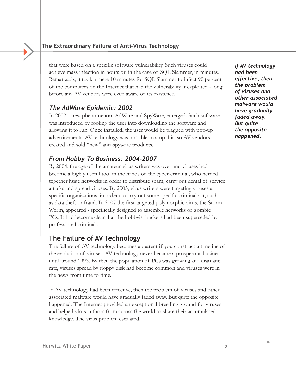that were based on a specific software vulnerability. Such viruses could achieve mass infection in hours or, in the case of SQL Slammer, in minutes. Remarkably, it took a mere 10 minutes for SQL Slammer to infect 90 percent of the computers on the Internet that had the vulnerability it exploited - long before any AV vendors were even aware of its existence.

## *The AdWare Epidemic: 2002*

In 2002 a new phenomenon, AdWare and SpyWare, emerged. Such software was introduced by fooling the user into downloading the software and allowing it to run. Once installed, the user would be plagued with pop-up advertisements. AV technology was not able to stop this, so AV vendors created and sold "new" anti-spyware products.

## *From Hobby To Business: 2004-2007*

By 2004, the age of the amateur virus writers was over and viruses had become a highly useful tool in the hands of the cyber-criminal, who herded together huge networks in order to distribute spam, carry out denial of service attacks and spread viruses. By 2005, virus writers were targeting viruses at specific organizations, in order to carry out some specific criminal act, such as data theft or fraud. In 2007 the first targeted polymorphic virus, the Storm Worm, appeared - specifically designed to assemble networks of zombie PCs. It had become clear that the hobbyist hackers had been superseded by professional criminals.

## **The Failure of AV Technology**

The failure of AV technology becomes apparent if you construct a timeline of the evolution of viruses. AV technology never became a prosperous business until around 1993. By then the population of PCs was growing at a dramatic rate, viruses spread by floppy disk had become common and viruses were in the news from time to time.

If AV technology had been effective, then the problem of viruses and other associated malware would have gradually faded away. But quite the opposite happened. The Internet provided an exceptional breeding ground for viruses and helped virus authors from across the world to share their accumulated knowledge. The virus problem escalated.

*If AV technology had been effective, then the problem of viruses and other associated malware would have gradually faded away. But quite the opposite happened.*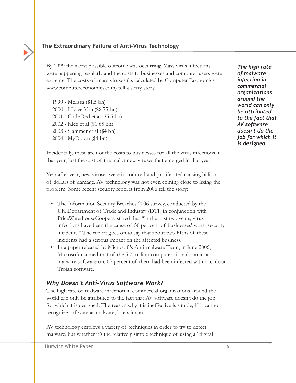By 1999 the worst possible outcome was occurring. Mass virus infections were happening regularly and the costs to businesses and computer users were extreme. The costs of mass viruses (as calculated by Computer Economics, www.computereconomics.com) tell a sorry story.

1999 - Melissa (\$1.5 bn) 2000 - I Love You (\$8.75 bn) 2001 - Code Red et al (\$5.5 bn) 2002 - Klez et al (\$1.65 bn) 2003 - Slammer et al (\$4 bn) 2004 - MyDoom (\$4 bn)

Incidentally, these are not the costs to businesses for all the virus infections in that year, just the cost of the major new viruses that emerged in that year.

Year after year, new viruses were introduced and proliferated causing billions of dollars of damage. AV technology was not even coming close to fixing the problem. Some recent security reports from 2006 tell the story:

- The Information Security Breaches 2006 survey, conducted by the UK Department of Trade and Industry (DTI) in conjunction with PriceWaterhouseCoopers, stated that "in the past two years, virus infections have been the cause of 50 per cent of businesses' worst security incidents." The report goes on to say that about two-fifths of these incidents had a serious impact on the affected business.
- In a paper released by Microsoft's Anti-malware Team, in June 2006, Microsoft claimed that of the 5.7 million computers it had run its antimalware software on, 62 percent of them had been infected with backdoor Trojan software.

#### *Why Doesn't Anti-Virus Software Work?*

The high rate of malware infection in commercial organizations around the world can only be attributed to the fact that AV software doesn't do the job for which it is designed. The reason why it is ineffective is simple; if it cannot recognize software as malware, it lets it run.

AV technology employs a variety of techniques in order to try to detect malware, but whether it's the relatively simple technique of using a "digital

*The high rate of malware infection in commercial organizations around the world can only be attributed to the fact that AV software doesn't do the job for which it is designed.*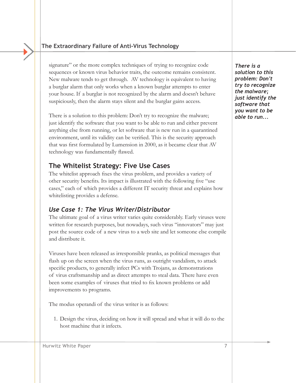signature" or the more complex techniques of trying to recognize code sequences or known virus behavior traits, the outcome remains consistent. New malware tends to get through. AV technology is equivalent to having a burglar alarm that only works when a known burglar attempts to enter your house. If a burglar is not recognized by the alarm and doesn't behave suspiciously, then the alarm stays silent and the burglar gains access.

There is a solution to this problem: Don't try to recognize the malware; just identify the software that you want to be able to run and either prevent anything else from running, or let software that is new run in a quarantined environment, until its validity can be verified. This is the security approach that was first formulated by Lumension in 2000, as it became clear that AV technology was fundamentally flawed.

# **The Whitelist Strategy: Five Use Cases**

The whitelist approach fixes the virus problem, and provides a variety of other security benefits. Its impact is illustrated with the following five "use cases," each of which provides a different IT security threat and explains how whitelisting provides a defense.

# *Use Case 1: The Virus Writer/Distributor*

The ultimate goal of a virus writer varies quite considerably. Early viruses were written for research purposes, but nowadays, such virus "innovators" may just post the source code of a new virus to a web site and let someone else compile and distribute it.

Viruses have been released as irresponsible pranks, as political messages that flash up on the screen when the virus runs, as outright vandalism, to attack specific products, to generally infect PCs with Trojans, as demonstrations of virus craftsmanship and as direct attempts to steal data. There have even been some examples of viruses that tried to fix known problems or add improvements to programs.

The modus operandi of the virus writer is as follows:

1. Design the virus, deciding on how it will spread and what it will do to the host machine that it infects.

*There is a solution to this problem: Don't try to recognize the malware; just identify the software that you want to be able to run...*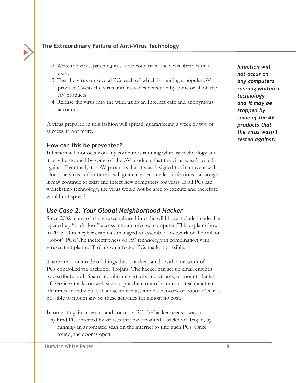- 2. Write the virus, patching in source code from the virus libraries that exist.
- 3. Test the virus on several PCs each of which is running a popular AV product. Tweak the virus until it evades detection by some or all of the AV products.
- 4. Release the virus into the wild, using an Internet cafe and anonymous accounts.

A virus prepared in this fashion will spread, guaranteeing a week or two of success, if not more.

#### **How can this be prevented?**

Infection will not occur on any computers running whitelist technology and it may be stopped by some of the AV products that the virus wasn't tested against. Eventually, the AV products that it was designed to circumvent will block the virus and in time it will gradually become less infectious - although it may continue to exist and infect new computers for years. If all PCs ran whitelisting technology, the virus would not be able to execute and therefore would not spread.

## *Use Case 2: Your Global Neighborhood Hacker*

Since 2002 many of the viruses released into the wild have included code that opened up "back door" access into an infected computer. This explains how, in 2005, Dutch cyber criminals managed to assemble a network of 1.5 million "robot" PCs. The ineffectiveness of AV technology in combination with viruses that planted Trojans on infected PCs made it possible.

There are a multitude of things that a hacker can do with a network of PCs controlled via backdoor Trojans. The hacker can set up email engines to distribute both Spam and phishing attacks and viruses, or mount Denial of Service attacks on web sites to put them out of action or steal data that identifies an individual. If a hacker can assemble a network of robot PCs, it is possible to mount any of these activities for almost no cost.

In order to gain access to and control a PC, the hacker needs a way in:

a) Find PCs infected by viruses that have planted a backdoor Trojan, by running an automated scan on the internet to find such PCs. Once found, the door is open.

*not occur on any computers running whitelist technology and it may be stopped by some of the AV products that the virus wasn't tested against.* 

*Infection will*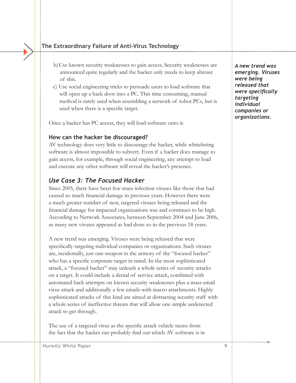- b)Use known security weaknesses to gain access. Security weaknesses are announced quite regularly and the hacker only needs to keep abreast of this.
- c) Use social engineering tricks to persuade users to load software that will open up a back door into a PC. This time consuming, manual method is rarely used when assembling a network of robot PCs, but is used when there is a specific target.

Once a hacker has PC access, they will load software onto it.

#### **How can the hacker be discouraged?**

AV technology does very little to discourage the hacker, while whitelisting software is almost impossible to subvert. Even if a hacker does manage to gain access, for example, through social engineering, any attempt to load and execute any other software will reveal the hacker's presence.

#### *Use Case 3: The Focused Hacker*

Since 2005, there have been few mass infection viruses like those that had caused so much financial damage in previous years. However there were a much greater number of new, targeted viruses being released and the financial damage for impacted organizations was and continues to be high. According to Network Associates, between September 2004 and June 2006, as many new viruses appeared as had done so in the previous 18 years.

A new trend was emerging. Viruses were being released that were specifically targeting individual companies or organizations. Such viruses are, incidentally, just one weapon in the armory of the "focused hacker" who has a specific corporate target in mind. In the most sophisticated attack, a "focused hacker" may unleash a whole series of security attacks on a target. It could include a denial of service attack, combined with automated hack attempts on known security weaknesses plus a mass email virus attack and additionally a few emails with macro attachments. Highly sophisticated attacks of this kind are aimed at distracting security staff with a whole series of ineffective threats that will allow one simple undetected attack to get through.

The use of a targeted virus as the specific attack vehicle stems from the fact that the hacker can probably find out which AV software is in *A new trend was emerging. Viruses were being released that were specifically targeting individual companies or organizations.* 

Hurwitz White Paper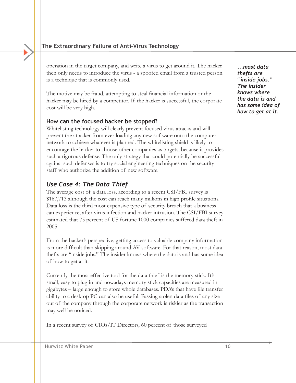operation in the target company, and write a virus to get around it. The hacker then only needs to introduce the virus - a spoofed email from a trusted person is a technique that is commonly used.

The motive may be fraud, attempting to steal financial information or the hacker may be hired by a competitor. If the hacker is successful, the corporate cost will be very high.

#### **How can the focused hacker be stopped?**

Whitelisting technology will clearly prevent focused virus attacks and will prevent the attacker from ever loading any new software onto the computer network to achieve whatever is planned. The whitelisting shield is likely to encourage the hacker to choose other companies as targets, because it provides such a rigorous defense. The only strategy that could potentially be successful against such defenses is to try social engineering techniques on the security staff who authorize the addition of new software.

## *Use Case 4: The Data Thief*

The average cost of a data loss, according to a recent CSI/FBI survey is \$167,713 although the cost can reach many millions in high profile situations. Data loss is the third most expensive type of security breach that a business can experience, after virus infection and hacker intrusion. The CSI/FBI survey estimated that 75 percent of US fortune 1000 companies suffered data theft in 2005.

From the hacker's perspective, getting access to valuable company information is more difficult than skipping around AV software. For that reason, most data thefts are "inside jobs." The insider knows where the data is and has some idea of how to get at it.

Currently the most effective tool for the data thief is the memory stick. It's small, easy to plug in and nowadays memory stick capacities are measured in gigabytes – large enough to store whole databases. PDA's that have file transfer ability to a desktop PC can also be useful. Passing stolen data files of any size out of the company through the corporate network is riskier as the transaction may well be noticed.

In a recent survey of CIOs/IT Directors, 60 percent of those surveyed

*...most data thefts are "inside jobs." The insider knows where the data is and has some idea of how to get at it.*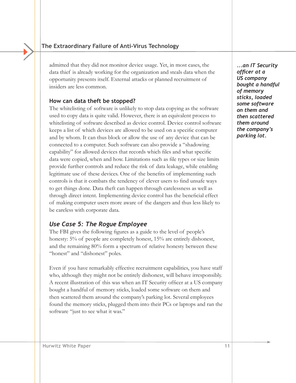admitted that they did not monitor device usage. Yet, in most cases, the data thief is already working for the organization and steals data when the opportunity presents itself. External attacks or planned recruitment of insiders are less common.

#### **How can data theft be stopped?**

The whitelisting of software is unlikely to stop data copying as the software used to copy data is quite valid. However, there is an equivalent process to whitelisting of software described as device control. Device control software keeps a list of which devices are allowed to be used on a specific computer and by whom. It can thus block or allow the use of any device that can be connected to a computer. Such software can also provide a "shadowing capability" for allowed devices that records which files and what specific data were copied, when and how. Limitations such as file types or size limits provide further controls and reduce the risk of data leakage, while enabling legitimate use of these devices. One of the benefits of implementing such controls is that it combats the tendency of clever users to find unsafe ways to get things done. Data theft can happen through carelessness as well as through direct intent. Implementing device control has the beneficial effect of making computer users more aware of the dangers and thus less likely to be careless with corporate data.

#### *Use Case 5: The Rogue Employee*

The FBI gives the following figures as a guide to the level of people's honesty: 5% of people are completely honest, 15% are entirely dishonest, and the remaining 80% form a spectrum of relative honesty between these "honest" and "dishonest" poles.

Even if you have remarkably effective recruitment capabilities, you have staff who, although they might not be entirely dishonest, will behave irresponsibly. A recent illustration of this was when an IT Security officer at a US company bought a handful of memory sticks, loaded some software on them and then scattered them around the company's parking lot. Several employees found the memory sticks, plugged them into their PCs or laptops and ran the software "just to see what it was."

*...an IT Security officer at a US company bought a handful of memory sticks, loaded some software on them and then scattered them around the company's parking lot.*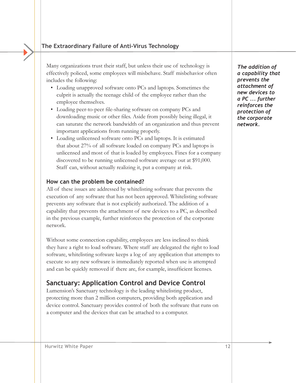Many organizations trust their staff, but unless their use of technology is effectively policed, some employees will misbehave. Staff misbehavior often includes the following:

- Loading unapproved software onto PCs and laptops. Sometimes the culprit is actually the teenage child of the employee rather than the employee themselves.
- Loading peer-to-peer file-sharing software on company PCs and downloading music or other files. Aside from possibly being illegal, it can saturate the network bandwidth of an organization and thus prevent important applications from running properly.
- Loading unlicensed software onto PCs and laptops. It is estimated that about 27% of all software loaded on company PCs and laptops is unlicensed and most of that is loaded by employees. Fines for a company discovered to be running unlicensed software average out at \$91,000. Staff can, without actually realizing it, put a company at risk.

#### **How can the problem be contained?**

All of these issues are addressed by whitelisting software that prevents the execution of any software that has not been approved. Whitelisting software prevents any software that is not explicitly authorized. The addition of a capability that prevents the attachment of new devices to a PC, as described in the previous example, further reinforces the protection of the corporate network.

Without some connection capability, employees are less inclined to think they have a right to load software. Where staff are delegated the right to load software, whitelisting software keeps a log of any application that attempts to execute so any new software is immediately reported when use is attempted and can be quickly removed if there are, for example, insufficient licenses.

# **Sanctuary: Application Control and Device Control**

Lumension's Sanctuary technology is the leading whitelisting product, protecting more than 2 million computers, providing both application and device control. Sanctuary provides control of both the software that runs on a computer and the devices that can be attached to a computer.

*The addition of a capability that prevents the attachment of new devices to a PC ... further reinforces the protection of the corporate network.*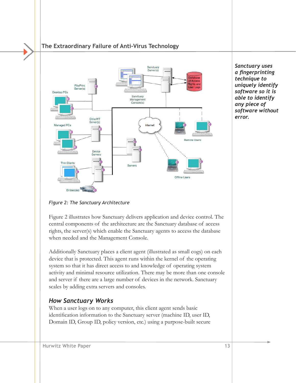

*Sanctuary uses a fingerprinting technique to uniquely identify software so it is able to identify any piece of software without error.*

#### *Figure 2: The Sanctuary Architecture*

Figure 2 illustrates how Sanctuary delivers application and device control. The central components of the architecture are the Sanctuary database of access rights, the server(s) which enable the Sanctuary agents to access the database when needed and the Management Console.

Additionally Sanctuary places a client agent (illustrated as small cogs) on each device that is protected. This agent runs within the kernel of the operating system so that it has direct access to and knowledge of operating system activity and minimal resource utilization. There may be more than one console and server if there are a large number of devices in the network. Sanctuary scales by adding extra servers and consoles.

## *How Sanctuary Works*

When a user logs on to any computer, this client agent sends basic identification information to the Sanctuary server (machine ID, user ID, Domain ID, Group ID, policy version, etc.) using a purpose-built secure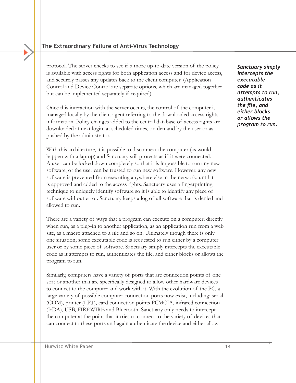protocol. The server checks to see if a more up-to-date version of the policy is available with access rights for both application access and for device access, and securely passes any updates back to the client computer. (Application Control and Device Control are separate options, which are managed together but can be implemented separately if required).

Once this interaction with the server occurs, the control of the computer is managed locally by the client agent referring to the downloaded access rights information. Policy changes added to the central database of access rights are downloaded at next login, at scheduled times, on demand by the user or as pushed by the administrator.

With this architecture, it is possible to disconnect the computer (as would happen with a laptop) and Sanctuary still protects as if it were connected. A user can be locked down completely so that it is impossible to run any new software, or the user can be trusted to run new software. However, any new software is prevented from executing anywhere else in the network, until it is approved and added to the access rights. Sanctuary uses a fingerprinting technique to uniquely identify software so it is able to identify any piece of software without error. Sanctuary keeps a log of all software that is denied and allowed to run.

There are a variety of ways that a program can execute on a computer; directly when run, as a plug-in to another application, as an application run from a web site, as a macro attached to a file and so on. Ultimately though there is only one situation; some executable code is requested to run either by a computer user or by some piece of software. Sanctuary simply intercepts the executable code as it attempts to run, authenticates the file, and either blocks or allows the program to run.

Similarly, computers have a variety of ports that are connection points of one sort or another that are specifically designed to allow other hardware devices to connect to the computer and work with it. With the evolution of the PC, a large variety of possible computer connection ports now exist, including; serial (COM), printer (LPT), card connection points PCMCIA, infrared connection (IrDA), USB, FIREWIRE and Bluetooth. Sanctuary only needs to intercept the computer at the point that it tries to connect to the variety of devices that can connect to these ports and again authenticate the device and either allow

*Sanctuary simply intercepts the executable code as it attempts to run, authenticates the file, and either blocks or allows the program to run.*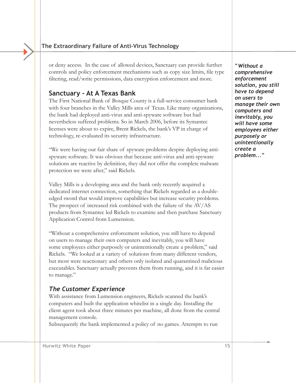or deny access. In the case of allowed devices, Sanctuary can provide further controls and policy enforcement mechanisms such as copy size limits, file type filtering, read/write permissions, data encryption enforcement and more.

## **Sanctuary - At A Texas Bank**

The First National Bank of Bosque County is a full-service consumer bank with four branches in the Valley Mills area of Texas. Like many organizations, the bank had deployed anti-virus and anti-spyware software but had nevertheless suffered problems. So in March 2006, before its Symantec licenses were about to expire, Brent Rickels, the bank's VP in charge of technology, re-evaluated its security infrastructure.

"We were having our fair share of spyware problems despite deploying antispyware software. It was obvious that because anti-virus and anti-spyware solutions are reactive by definition, they did not offer the complete malware protection we were after," said Rickels.

Valley Mills is a developing area and the bank only recently acquired a dedicated internet connection, something that Rickels regarded as a doubleedged sword that would improve capabilities but increase security problems. The prospect of increased risk combined with the failure of the AV/AS products from Symantec led Rickels to examine and then purchase Sanctuary Application Control from Lumension.

"Without a comprehensive enforcement solution, you still have to depend on users to manage their own computers and inevitably, you will have some employees either purposely or unintentionally create a problem," said Rickels. "We looked at a variety of solutions from many different vendors, but most were reactionary and others only isolated and quarantined malicious executables. Sanctuary actually prevents them from running, and it is far easier to manage."

## *The Customer Experience*

With assistance from Lumension engineers, Rickels scanned the bank's computers and built the application whitelist in a single day. Installing the client agent took about three minutes per machine, all done from the central management console.

Subsequently the bank implemented a policy of no games. Attempts to run

*"Without a comprehensive enforcement solution, you still have to depend on users to manage their own computers and inevitably, you will have some employees either purposely or unintentionally create a problem..."*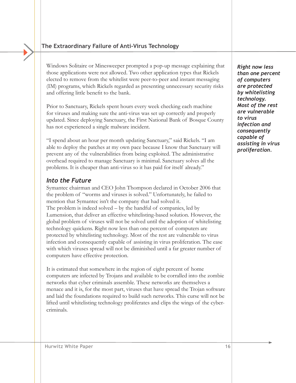Windows Solitaire or Minesweeper prompted a pop-up message explaining that those applications were not allowed. Two other application types that Rickels elected to remove from the whitelist were peer-to-peer and instant messaging (IM) programs, which Rickels regarded as presenting unnecessary security risks and offering little benefit to the bank.

Prior to Sanctuary, Rickels spent hours every week checking each machine for viruses and making sure the anti-virus was set up correctly and properly updated. Since deploying Sanctuary, the First National Bank of Bosque County has not experienced a single malware incident.

"I spend about an hour per month updating Sanctuary," said Rickels. "I am able to deploy the patches at my own pace because I know that Sanctuary will prevent any of the vulnerabilities from being exploited. The administrative overhead required to manage Sanctuary is minimal. Sanctuary solves all the problems. It is cheaper than anti-virus so it has paid for itself already."

#### *Into the Future*

Symantec chairman and CEO John Thompson declared in October 2006 that the problem of "worms and viruses is solved." Unfortunately, he failed to mention that Symantec isn't the company that had solved it. The problem is indeed solved – by the handful of companies, led by Lumension, that deliver an effective whitelisting-based solution. However, the global problem of viruses will not be solved until the adoption of whitelisting technology quickens. Right now less than one percent of computers are protected by whitelisting technology. Most of the rest are vulnerable to virus infection and consequently capable of assisting in virus proliferation. The ease with which viruses spread will not be diminished until a far greater number of computers have effective protection.

It is estimated that somewhere in the region of eight percent of home computers are infected by Trojans and available to be corralled into the zombie networks that cyber criminals assemble. These networks are themselves a menace and it is, for the most part, viruses that have spread the Trojan software and laid the foundations required to build such networks. This curse will not be lifted until whitelisting technology proliferates and clips the wings of the cybercriminals.

*Right now less than one percent of computers are protected by whitelisting technology. Most of the rest are vulnerable to virus infection and consequently capable of assisting in virus proliferation.*